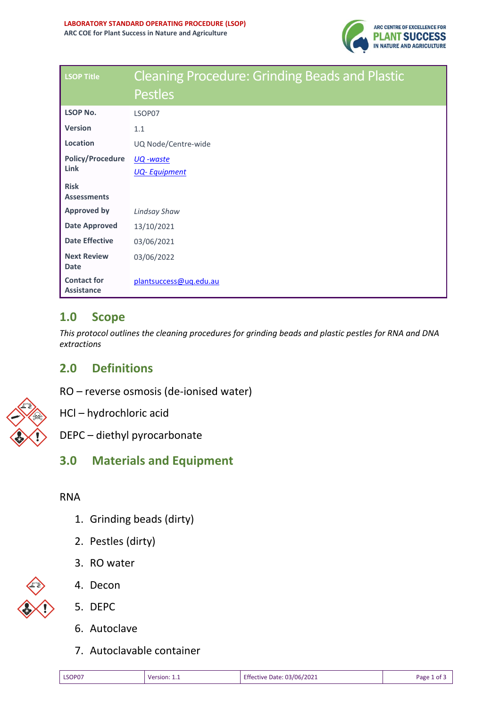

| <b>LSOP Title</b>                       | <b>Cleaning Procedure: Grinding Beads and Plastic</b> |  |  |  |
|-----------------------------------------|-------------------------------------------------------|--|--|--|
|                                         | <b>Pestles</b>                                        |  |  |  |
| <b>LSOP No.</b>                         | LSOP07                                                |  |  |  |
| <b>Version</b>                          | 1.1                                                   |  |  |  |
| Location                                | UQ Node/Centre-wide                                   |  |  |  |
| <b>Policy/Procedure</b><br>Link         | UQ -waste                                             |  |  |  |
|                                         | <b>UQ-Equipment</b>                                   |  |  |  |
| <b>Risk</b><br><b>Assessments</b>       |                                                       |  |  |  |
| <b>Approved by</b>                      | <b>Lindsay Shaw</b>                                   |  |  |  |
| <b>Date Approved</b>                    | 13/10/2021                                            |  |  |  |
| <b>Date Effective</b>                   | 03/06/2021                                            |  |  |  |
| <b>Next Review</b><br><b>Date</b>       | 03/06/2022                                            |  |  |  |
| <b>Contact for</b><br><b>Assistance</b> | plantsuccess@uq.edu.au                                |  |  |  |

## **1.0 Scope**

*This protocol outlines the cleaning procedures for grinding beads and plastic pestles for RNA and DNA extractions*

# **2.0 Definitions**

RO – reverse osmosis (de-ionised water)



HCl – hydrochloric acid

DEPC – diethyl pyrocarbonate

# **3.0 Materials and Equipment**

#### RNA

- 1. Grinding beads (dirty)
- 2. Pestles (dirty)
- 3. RO water



4. Decon

- 5. DEPC
- 6. Autoclave
- 7. Autoclavable container

| ×<br>۰.<br>v<br>۰,<br>۰, |
|--------------------------|
|                          |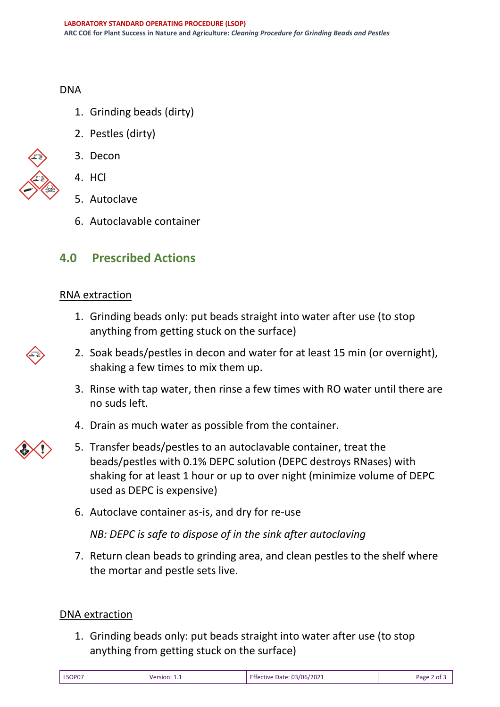DNA

- 1. Grinding beads (dirty)
- 2. Pestles (dirty)



- 3. Decon
- 4. HCl
- 5. Autoclave
- 6. Autoclavable container

# **4.0 Prescribed Actions**

### RNA extraction

- 1. Grinding beads only: put beads straight into water after use (to stop anything from getting stuck on the surface)
- 2. Soak beads/pestles in decon and water for at least 15 min (or overnight), shaking a few times to mix them up.
- 3. Rinse with tap water, then rinse a few times with RO water until there are no suds left.
- 4. Drain as much water as possible from the container.
- 5. Transfer beads/pestles to an autoclavable container, treat the beads/pestles with 0.1% DEPC solution (DEPC destroys RNases) with shaking for at least 1 hour or up to over night (minimize volume of DEPC used as DEPC is expensive)
- 6. Autoclave container as-is, and dry for re-use

*NB: DEPC is safe to dispose of in the sink after autoclaving* 

7. Return clean beads to grinding area, and clean pestles to the shelf where the mortar and pestle sets live.

## DNA extraction

1. Grinding beads only: put beads straight into water after use (to stop anything from getting stuck on the surface)

| LSOP07 | Version: 1.1<br>________ | <b>Effective Date: 03/06/2021</b><br>_____<br>. | Page 2 of 5 |
|--------|--------------------------|-------------------------------------------------|-------------|
|--------|--------------------------|-------------------------------------------------|-------------|